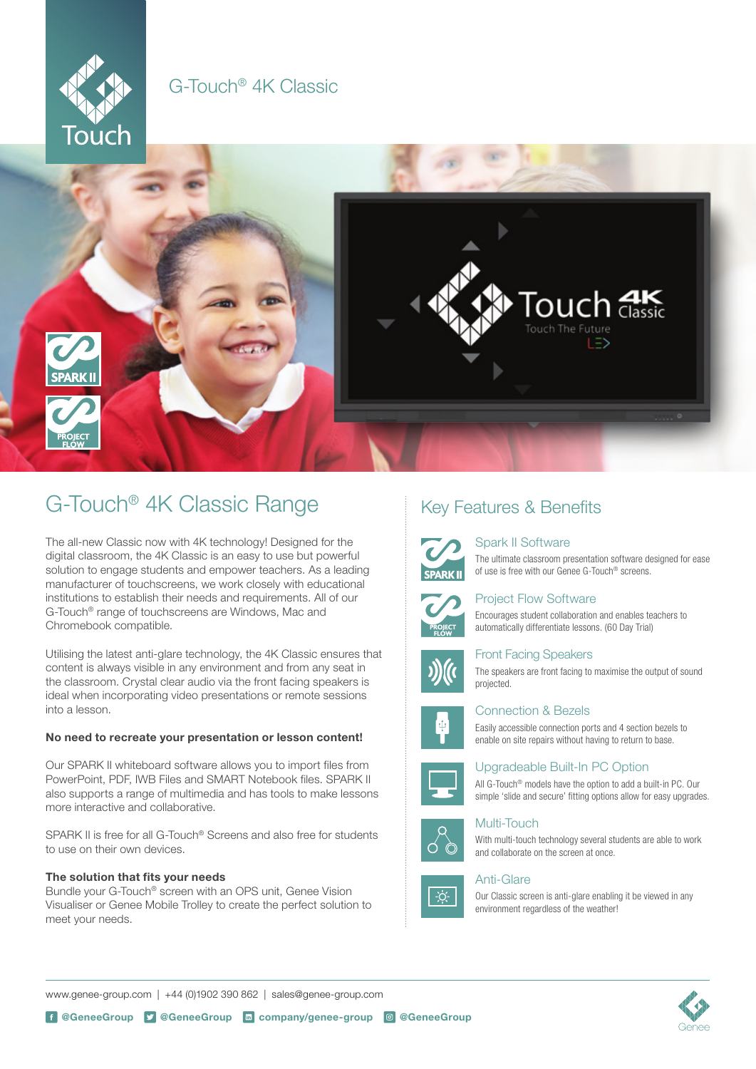

## G-Touch® 4K Classic



# G-Touch<sup>®</sup> 4K Classic Range Key Features & Benefits

The all-new Classic now with 4K technology! Designed for the digital classroom, the 4K Classic is an easy to use but powerful solution to engage students and empower teachers. As a leading manufacturer of touchscreens, we work closely with educational institutions to establish their needs and requirements. All of our G-Touch® range of touchscreens are Windows, Mac and Chromebook compatible.

Utilising the latest anti-glare technology, the 4K Classic ensures that content is always visible in any environment and from any seat in the classroom. Crystal clear audio via the front facing speakers is ideal when incorporating video presentations or remote sessions into a lesson.

### No need to recreate your presentation or lesson content!

Our SPARK II whiteboard software allows you to import files from PowerPoint, PDF, IWB Files and SMART Notebook files. SPARK II also supports a range of multimedia and has tools to make lessons more interactive and collaborative.

SPARK II is free for all G-Touch® Screens and also free for students to use on their own devices.

### The solution that fits your needs

Bundle your G-Touch® screen with an OPS unit, Genee Vision Visualiser or Genee Mobile Trolley to create the perfect solution to meet your needs.

Spark II Software



The ultimate classroom presentation software designed for ease of use is free with our Genee G-Touch® screens.



Project Flow Software

Encourages student collaboration and enables teachers to automatically differentiate lessons. (60 Day Trial)

### Front Facing Speakers

The speakers are front facing to maximise the output of sound projected.



Connection & Bezels

Easily accessible connection ports and 4 section bezels to enable on site repairs without having to return to base.



Upgradeable Built-In PC Option

All G-Touch<sup>®</sup> models have the option to add a built-in PC. Our simple 'slide and secure' fitting options allow for easy upgrades.



Multi-Touch

With multi-touch technology several students are able to work and collaborate on the screen at once.



### Anti-Glare

Our Classic screen is anti-glare enabling it be viewed in any environment regardless of the weather!